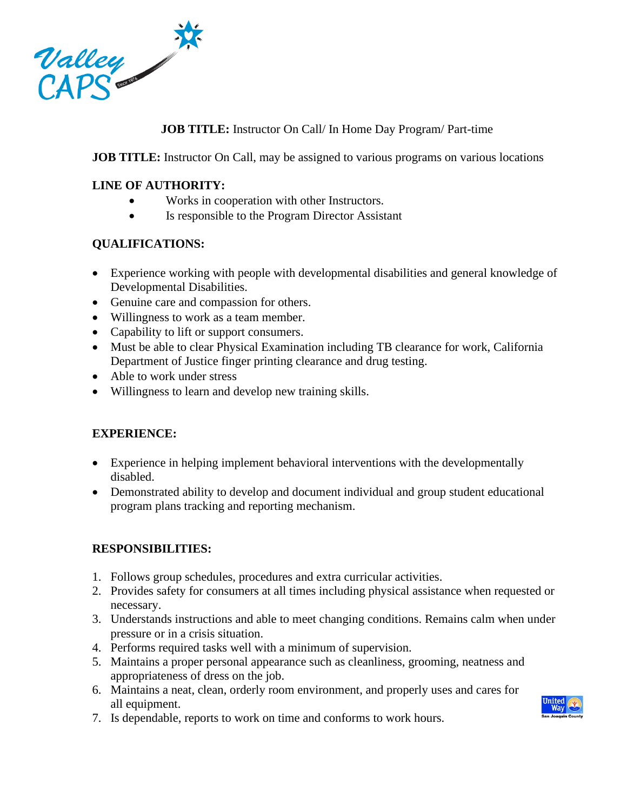

# **JOB TITLE:** Instructor On Call/ In Home Day Program/ Part-time

**JOB TITLE:** Instructor On Call, may be assigned to various programs on various locations

### **LINE OF AUTHORITY:**

- Works in cooperation with other Instructors.
- Is responsible to the Program Director Assistant

## **QUALIFICATIONS:**

- Experience working with people with developmental disabilities and general knowledge of Developmental Disabilities.
- Genuine care and compassion for others.
- Willingness to work as a team member.
- Capability to lift or support consumers.
- Must be able to clear Physical Examination including TB clearance for work, California Department of Justice finger printing clearance and drug testing.
- Able to work under stress
- Willingness to learn and develop new training skills.

## **EXPERIENCE:**

- Experience in helping implement behavioral interventions with the developmentally disabled.
- Demonstrated ability to develop and document individual and group student educational program plans tracking and reporting mechanism.

## **RESPONSIBILITIES:**

- 1. Follows group schedules, procedures and extra curricular activities.
- 2. Provides safety for consumers at all times including physical assistance when requested or necessary.
- 3. Understands instructions and able to meet changing conditions. Remains calm when under pressure or in a crisis situation.
- 4. Performs required tasks well with a minimum of supervision.
- 5. Maintains a proper personal appearance such as cleanliness, grooming, neatness and appropriateness of dress on the job.
- 6. Maintains a neat, clean, orderly room environment, and properly uses and cares for all equipment.
- 7. Is dependable, reports to work on time and conforms to work hours.